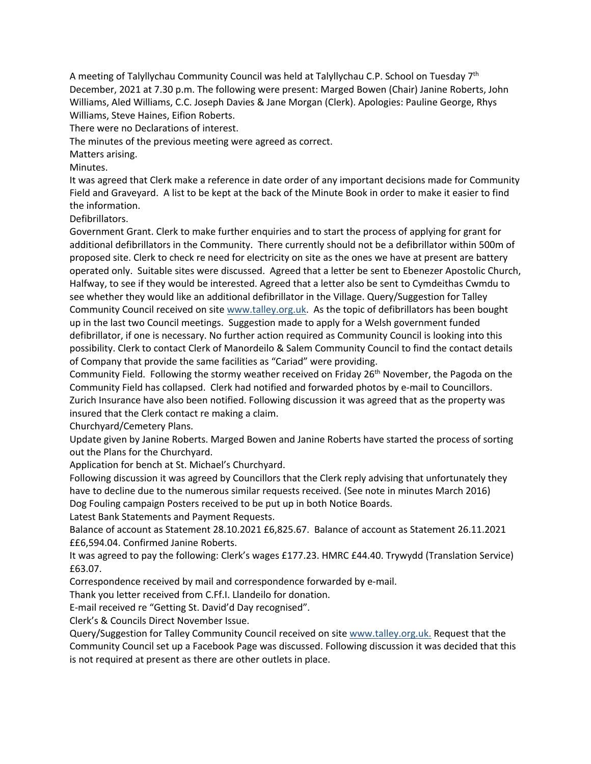A meeting of Talyllychau Community Council was held at Talyllychau C.P. School on Tuesday 7th December, 2021 at 7.30 p.m. The following were present: Marged Bowen (Chair) Janine Roberts, John Williams, Aled Williams, C.C. Joseph Davies & Jane Morgan (Clerk). Apologies: Pauline George, Rhys Williams, Steve Haines, Eifion Roberts.

There were no Declarations of interest.

The minutes of the previous meeting were agreed as correct.

Matters arising.

Minutes.

It was agreed that Clerk make a reference in date order of any important decisions made for Community Field and Graveyard. A list to be kept at the back of the Minute Book in order to make it easier to find the information.

Defibrillators.

Government Grant. Clerk to make further enquiries and to start the process of applying for grant for additional defibrillators in the Community. There currently should not be a defibrillator within 500m of proposed site. Clerk to check re need for electricity on site as the ones we have at present are battery operated only. Suitable sites were discussed. Agreed that a letter be sent to Ebenezer Apostolic Church, Halfway, to see if they would be interested. Agreed that a letter also be sent to Cymdeithas Cwmdu to see whether they would like an additional defibrillator in the Village. Query/Suggestion for Talley Community Council received on site www.talley.org.uk. As the topic of defibrillators has been bought up in the last two Council meetings. Suggestion made to apply for a Welsh government funded defibrillator, if one is necessary. No further action required as Community Council is looking into this possibility. Clerk to contact Clerk of Manordeilo & Salem Community Council to find the contact details of Company that provide the same facilities as "Cariad" were providing.

Community Field. Following the stormy weather received on Friday  $26<sup>th</sup>$  November, the Pagoda on the Community Field has collapsed. Clerk had notified and forwarded photos by e-mail to Councillors. Zurich Insurance have also been notified. Following discussion it was agreed that as the property was insured that the Clerk contact re making a claim.

Churchyard/Cemetery Plans.

Update given by Janine Roberts. Marged Bowen and Janine Roberts have started the process of sorting out the Plans for the Churchyard.

Application for bench at St. Michael's Churchyard.

Following discussion it was agreed by Councillors that the Clerk reply advising that unfortunately they have to decline due to the numerous similar requests received. (See note in minutes March 2016) Dog Fouling campaign Posters received to be put up in both Notice Boards.

Latest Bank Statements and Payment Requests.

Balance of account as Statement 28.10.2021 £6,825.67. Balance of account as Statement 26.11.2021 ££6,594.04. Confirmed Janine Roberts.

It was agreed to pay the following: Clerk's wages £177.23. HMRC £44.40. Trywydd (Translation Service) £63.07.

Correspondence received by mail and correspondence forwarded by e-mail.

Thank you letter received from C.Ff.I. Llandeilo for donation.

E-mail received re "Getting St. David'd Day recognised".

Clerk's & Councils Direct November Issue.

Query/Suggestion for Talley Community Council received on site www.talley.org.uk. Request that the Community Council set up a Facebook Page was discussed. Following discussion it was decided that this is not required at present as there are other outlets in place.